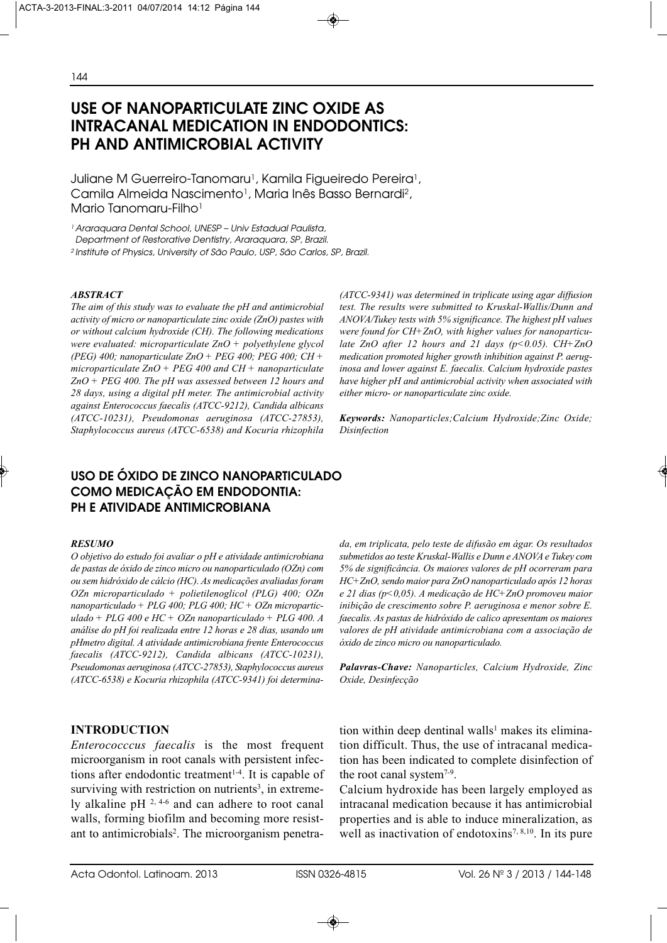# **USE OF NANOPARTICULATE ZINC OXIDE AS INTRACANAL MEDICATION IN ENDODONTICS: PH AND ANTIMICROBIAL ACTIVITY**

Juliane M Guerreiro-Tanomaru<sup>1</sup>, Kamila Figueiredo Pereira<sup>1</sup>, Camila Almeida Nascimento<sup>1</sup>, Maria Inês Basso Bernardi<sup>2</sup>, Mario Tanomaru-Filho<sup>1</sup>

<sup>1</sup> Araraquara Dental School, UNESP - Univ Estadual Paulista, Department of Restorative Dentistry, Araraquara, SP, Brazil.

2 Institute of Physics, University of São Paulo, USP, São Carlos, SP, Brazil.

#### *ABSTRACT*

*The aim of this study was to evaluate the pH and antimicrobial activity of micro or nanoparticulate zinc oxide (ZnO) pastes with or without calcium hydroxide (CH). The following medications were evaluated: microparticulate ZnO + polyethylene glycol (PEG) 400; nanoparticulate ZnO + PEG 400; PEG 400; CH + microparticulate ZnO + PEG 400 and CH + nanoparticulate ZnO + PEG 400. The pH was assessed between 12 hours and 28 days, using a digital pH meter. The antimicrobial activity against Enterococcus faecalis (ATCC-9212), Candida albicans (ATCC-10231), Pseudomonas aeruginosa (ATCC-27853), Staphylococcus aureus (ATCC-6538) and Kocuria rhizophila*

# **USO DE ÓXIDO DE ZINCO NANOPARTICULADO COMO MEDICAÇÃO EM ENDODONTIA: PH E ATIVIDADE ANTIMICROBIANA**

#### *RESUMO*

*O objetivo do estudo foi avaliar o pH e atividade antimicrobiana de pastas de óxido de zinco micro ou nanoparticulado (OZn) com ou sem hidróxido de cálcio (HC). As medicações avaliadas foram OZn microparticulado + polietilenoglicol (PLG) 400; OZn nanoparticulado + PLG 400; PLG 400; HC + OZn microparticulado + PLG 400 e HC + OZn nanoparticulado + PLG 400. A análise do pH foi realizada entre 12 horas e 28 dias, usando um pHmetro digital. A atividade antimicrobiana frente Enterococcus faecalis (ATCC-9212), Candida albicans (ATCC-10231), Pseudomonas aeruginosa (ATCC-27853), Staphylococcus aureus (ATCC-6538) e Kocuria rhizophila (ATCC-9341) foi determina-*

### **INTRODUCTION**

*Enterococccus faecalis* is the most frequent microorganism in root canals with persistent infections after endodontic treatment<sup>1-4</sup>. It is capable of surviving with restriction on nutrients<sup>3</sup>, in extremely alkaline pH 2, 4-6 and can adhere to root canal walls, forming biofilm and becoming more resistant to antimicrobials<sup>2</sup>. The microorganism penetra*(ATCC-9341) was determined in triplicate using agar diffusion test. The results were submitted to Kruskal-Wallis/Dunn and ANOVA/Tukey tests with 5% significance. The highest pH values were found for CH+ZnO, with higher values for nanoparticulate ZnO after 12 hours and 21 days (p<0.05). CH+ZnO medication promoted higher growth inhibition against P. aeruginosa and lower against E. faecalis. Calcium hydroxide pastes have higher pH and antimicrobial activity when associated with either micro- or nanoparticulate zinc oxide.* 

*Keywords: Nanoparticles;Calcium Hydroxide;Zinc Oxide; Disinfection*

*da, em triplicata, pelo teste de difusão em ágar. Os resultados submetidos ao teste Kruskal-Wallis e Dunn e ANOVA e Tukey com 5% de significância. Os maiores valores de pH ocorreram para HC+ZnO, sendo maior para ZnO nanoparticulado após 12 horas e 21 dias (p<0,05). A medicação de HC+ZnO promoveu maior inibição de crescimento sobre P. aeruginosa e menor sobre E. faecalis. As pastas de hidróxido de calico apresentam os maiores valores de pH atividade antimicrobiana com a associação de óxido de zinco micro ou nanoparticulado.* 

*Palavras-Chave: Nanoparticles, Calcium Hydroxide, Zinc Oxide, Desinfecção*

tion within deep dentinal walls<sup>1</sup> makes its elimination difficult. Thus, the use of intracanal medication has been indicated to complete disinfection of the root canal system<sup>7-9</sup>.

Calcium hydroxide has been largely employed as intracanal medication because it has antimicrobial properties and is able to induce mineralization, as well as inactivation of endotoxins<sup>7, 8,10</sup>. In its pure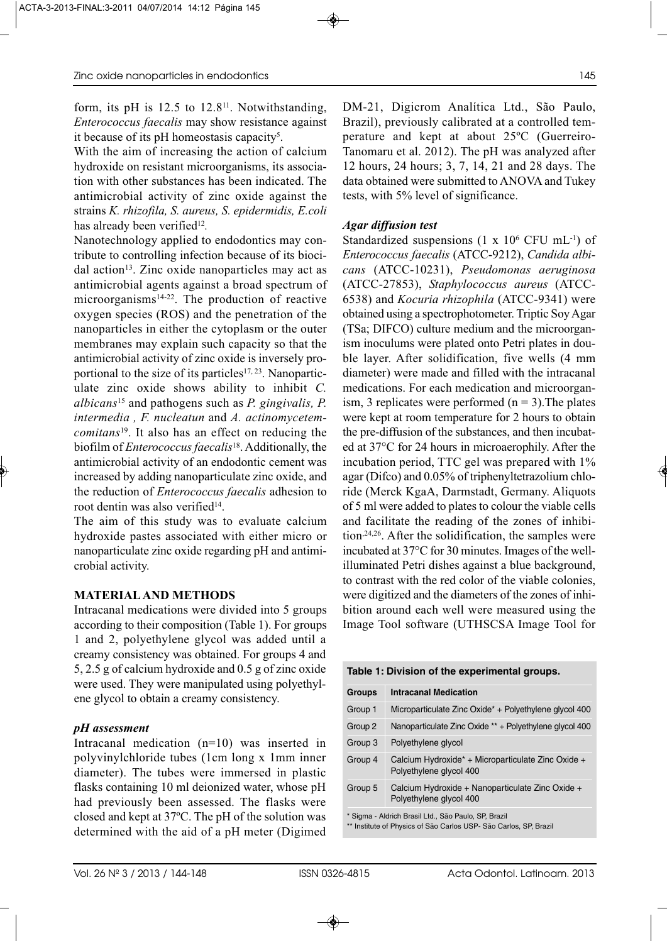form, its pH is  $12.5$  to  $12.8<sup>11</sup>$ . Notwithstanding, *Enterococcus faecalis* may show resistance against it because of its pH homeostasis capacity5.

With the aim of increasing the action of calcium hydroxide on resistant microorganisms, its association with other substances has been indicated. The antimicrobial activity of zinc oxide against the strains *K. rhizofila, S. aureus, S. epidermidis, E.coli* has already been verified<sup>12</sup>.

Nanotechnology applied to endodontics may contribute to controlling infection because of its biocidal action<sup>13</sup>. Zinc oxide nanoparticles may act as antimicrobial agents against a broad spectrum of microorganisms<sup>14-22</sup>. The production of reactive oxygen species (ROS) and the penetration of the nanoparticles in either the cytoplasm or the outer membranes may explain such capacity so that the antimicrobial activity of zinc oxide is inversely proportional to the size of its particles<sup>17, 23</sup>. Nanoparticulate zinc oxide shows ability to inhibit *C. albicans*<sup>15</sup> and pathogens such as *P. gingivalis, P. intermedia , F. nucleatun* and *A. actinomycetemcomitans*19. It also has an effect on reducing the biofilm of *Enterococcus faecalis*18. Additionally, the antimicrobial activity of an endodontic cement was increased by adding nanoparticulate zinc oxide, and the reduction of *Enterococcus faecalis* adhesion to root dentin was also verified<sup>14</sup>.

The aim of this study was to evaluate calcium hydroxide pastes associated with either micro or nanoparticulate zinc oxide regarding pH and antimicrobial activity.

# **MATERIAL AND METHODS**

Intracanal medications were divided into 5 groups according to their composition (Table 1). For groups 1 and 2, polyethylene glycol was added until a creamy consistency was obtained. For groups 4 and 5, 2.5 g of calcium hydroxide and 0.5 g of zinc oxide were used. They were manipulated using polyethylene glycol to obtain a creamy consistency.

# *pH assessment*

Intracanal medication (n=10) was inserted in polyvinylchloride tubes (1cm long x 1mm inner diameter). The tubes were immersed in plastic flasks containing 10 ml deionized water, whose pH had previously been assessed. The flasks were closed and kept at 37ºC. The pH of the solution was determined with the aid of a pH meter (Digimed DM-21, Digicrom Analítica Ltd., São Paulo, Brazil), previously calibrated at a controlled temperature and kept at about 25ºC (Guerreiro-Tanomaru et al. 2012). The pH was analyzed after 12 hours, 24 hours; 3, 7, 14, 21 and 28 days. The data obtained were submitted to ANOVA and Tukey tests, with 5% level of significance.

# *Agar diffusion test*

Standardized suspensions  $(1 \times 10^6 \text{ CFU mL}^{-1})$  of *Enterococcus faecalis* (ATCC-9212), *Candida albicans* (ATCC-10231), *Pseudomonas aeruginosa* (ATCC-27853), *Staphylococcus aureus* (ATCC-6538) and *Kocuria rhizophila* (ATCC-9341) were obtained using a spectrophotometer. Triptic Soy Agar (TSa; DIFCO) culture medium and the microorganism inoculums were plated onto Petri plates in double layer. After solidification, five wells (4 mm diameter) were made and filled with the intracanal medications. For each medication and microorganism, 3 replicates were performed  $(n = 3)$ . The plates were kept at room temperature for 2 hours to obtain the pre-diffusion of the substances, and then incubated at 37°C for 24 hours in microaerophily. After the incubation period, TTC gel was prepared with 1% agar (Difco) and 0.05% of triphenyltetrazolium chloride (Merck KgaA, Darmstadt, Germany. Aliquots of 5 ml were added to plates to colour the viable cells and facilitate the reading of the zones of inhibition,24,26. After the solidification, the samples were incubated at 37°C for 30 minutes. Images of the wellilluminated Petri dishes against a blue background, to contrast with the red color of the viable colonies, were digitized and the diameters of the zones of inhibition around each well were measured using the Image Tool software (UTHSCSA Image Tool for

| Table 1: Division of the experimental groups. |  |
|-----------------------------------------------|--|
|-----------------------------------------------|--|

| <b>Groups</b> | <b>Intracanal Medication</b>                                                  |
|---------------|-------------------------------------------------------------------------------|
| Group 1       | Microparticulate Zinc Oxide* + Polyethylene glycol 400                        |
| Group 2       | Nanoparticulate Zinc Oxide ** + Polyethylene glycol 400                       |
| Group 3       | Polyethylene glycol                                                           |
| Group 4       | Calcium Hydroxide* + Microparticulate Zinc Oxide +<br>Polyethylene glycol 400 |
| Group 5       | Calcium Hydroxide + Nanoparticulate Zinc Oxide +<br>Polyethylene glycol 400   |
|               | * Sigma - Aldrich Brasil Ltd., São Paulo, SP, Brazil                          |

Institute of Physics of São Carlos USP- São Carlos, SP, Brazil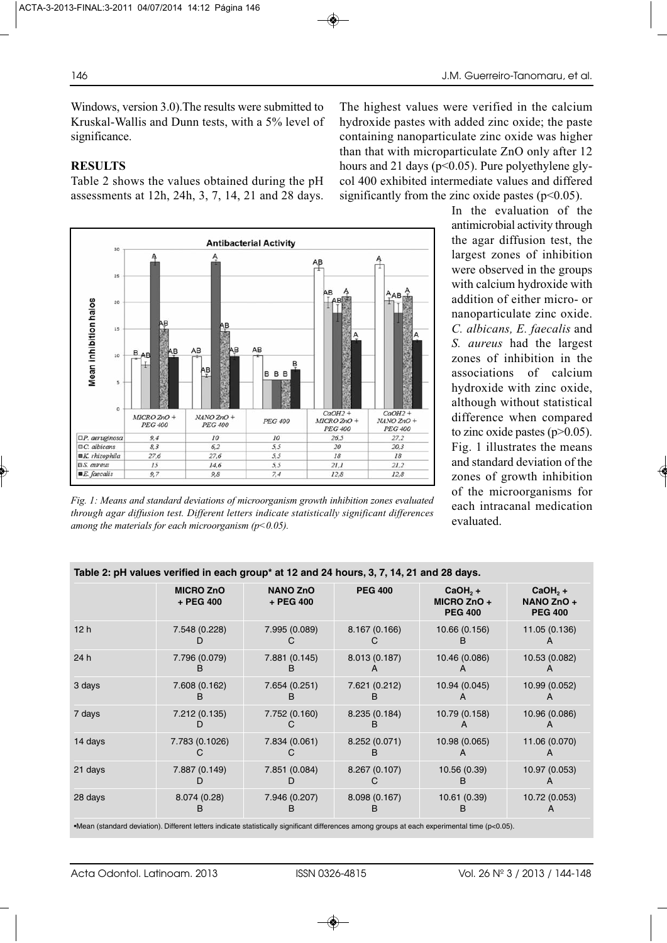Windows, version 3.0).The results were submitted to Kruskal-Wallis and Dunn tests, with a 5% level of significance.

# **RESULTS**

Table 2 shows the values obtained during the pH assessments at 12h, 24h, 3, 7, 14, 21 and 28 days.



*Fig. 1: Means and standard deviations of microorganism growth inhibition zones evaluated through agar diffusion test. Different letters indicate statistically significant differences among the materials for each microorganism (p<0.05).*

The highest values were verified in the calcium hydroxide pastes with added zinc oxide; the paste containing nanoparticulate zinc oxide was higher than that with microparticulate ZnO only after 12 hours and 21 days ( $p<0.05$ ). Pure polyethylene glycol 400 exhibited intermediate values and differed significantly from the zinc oxide pastes ( $p<0.05$ ).

> In the evaluation of the antimicrobial activity through the agar diffusion test, the largest zones of inhibition were observed in the groups with calcium hydroxide with addition of either micro- or nanoparticulate zinc oxide. *C. albicans, E. faecalis* and *S. aureus* had the largest zones of inhibition in the associations of calcium hydroxide with zinc oxide, although without statistical difference when compared to zinc oxide pastes  $(p>0.05)$ . Fig. 1 illustrates the means and standard deviation of the zones of growth inhibition of the microorganisms for each intracanal medication evaluated.

|                 | <b>MICRO ZnO</b><br>$+$ PEG 400 | <b>NANO ZnO</b><br>+ PEG 400 | <b>PEG 400</b>     | $CaOH, +$<br>$MICRO ZnO +$<br><b>PEG 400</b> | $CaOH, +$<br>NANO ZnO +<br><b>PEG 400</b> |
|-----------------|---------------------------------|------------------------------|--------------------|----------------------------------------------|-------------------------------------------|
| 12 <sub>h</sub> | 7.548 (0.228)                   | 7.995 (0.089)                | 8.167 (0.166)      | 10.66 (0.156)                                | 11.05 (0.136)                             |
| 24 h            | 7.796 (0.079)<br>в              | 7.881 (0.145)<br>R           | 8.013 (0.187)      | 10.46 (0.086)                                | 10.53 (0.082)                             |
| 3 days          | 7.608 (0.162)<br>B              | 7.654 (0.251)<br>в           | 7.621 (0.212)<br>в | 10.94 (0.045)                                | 10.99 (0.052)                             |
| 7 days          | 7.212 (0.135)                   | 7.752 (0.160)                | 8.235 (0.184)      | 10.79 (0.158)                                | 10.96 (0.086)                             |
| 14 days         | 7.783 (0.1026)                  | 7.834 (0.061)                | 8.252 (0.071)<br>в | 10.98 (0.065)                                | 11.06 (0.070)                             |
| 21 days         | 7.887 (0.149)                   | 7.851 (0.084)                | 8.267 (0.107)      | 10.56 (0.39)<br>в                            | 10.97 (0.053)                             |
| 28 days         | 8.074 (0.28)<br>в               | 7.946 (0.207)                | 8.098 (0.167)<br>в | 10.61 (0.39)<br>в                            | 10.72 (0.053)                             |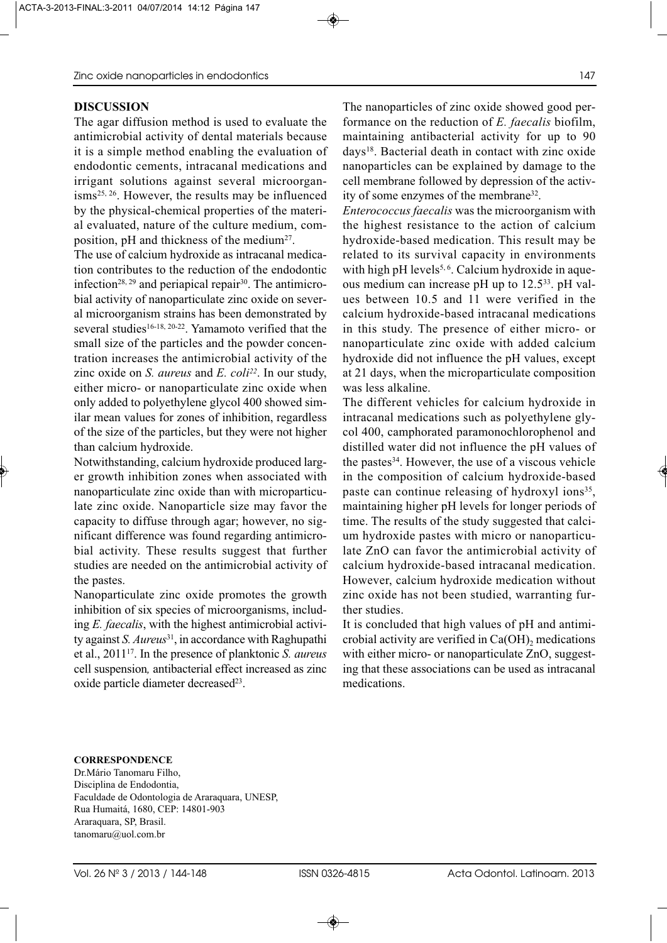### **DISCUSSION**

The agar diffusion method is used to evaluate the antimicrobial activity of dental materials because it is a simple method enabling the evaluation of endodontic cements, intracanal medications and irrigant solutions against several microorganisms25, 26. However, the results may be influenced by the physical-chemical properties of the material evaluated, nature of the culture medium, composition, pH and thickness of the medium<sup>27</sup>.

The use of calcium hydroxide as intracanal medication contributes to the reduction of the endodontic infection<sup>28, 29</sup> and periapical repair<sup>30</sup>. The antimicrobial activity of nanoparticulate zinc oxide on several microorganism strains has been demonstrated by several studies<sup>16-18, 20-22</sup>. Yamamoto verified that the small size of the particles and the powder concentration increases the antimicrobial activity of the zinc oxide on *S. aureus* and *E. coli22*. In our study, either micro- or nanoparticulate zinc oxide when only added to polyethylene glycol 400 showed similar mean values for zones of inhibition, regardless of the size of the particles, but they were not higher than calcium hydroxide.

Notwithstanding, calcium hydroxide produced larger growth inhibition zones when associated with nanoparticulate zinc oxide than with microparticulate zinc oxide. Nanoparticle size may favor the capacity to diffuse through agar; however, no significant difference was found regarding antimicrobial activity. These results suggest that further studies are needed on the antimicrobial activity of the pastes.

Nanoparticulate zinc oxide promotes the growth inhibition of six species of microorganisms, including *E. faecalis*, with the highest antimicrobial activity against *S. Aureus*31, in accordance with Raghupathi et al., 201117. In the presence of planktonic *S. aureus* cell suspension*,* antibacterial effect increased as zinc oxide particle diameter decreased<sup>23</sup>.

The nanoparticles of zinc oxide showed good performance on the reduction of *E. faecalis* biofilm, maintaining antibacterial activity for up to 90 days18. Bacterial death in contact with zinc oxide nanoparticles can be explained by damage to the cell membrane followed by depression of the activity of some enzymes of the membrane32.

*Enterococcus faecalis* was the microorganism with the highest resistance to the action of calcium hydroxide-based medication. This result may be related to its survival capacity in environments with high pH levels<sup>5, 6</sup>. Calcium hydroxide in aqueous medium can increase pH up to 12.5<sup>33</sup>. pH values between 10.5 and 11 were verified in the calcium hydroxide-based intracanal medications in this study. The presence of either micro- or nanoparticulate zinc oxide with added calcium hydroxide did not influence the pH values, except at 21 days, when the microparticulate composition was less alkaline.

The different vehicles for calcium hydroxide in intracanal medications such as polyethylene glycol 400, camphorated paramonochlorophenol and distilled water did not influence the pH values of the pastes<sup>34</sup>. However, the use of a viscous vehicle in the composition of calcium hydroxide-based paste can continue releasing of hydroxyl ions<sup>35</sup>, maintaining higher pH levels for longer periods of time. The results of the study suggested that calcium hydroxide pastes with micro or nanoparticulate ZnO can favor the antimicrobial activity of calcium hydroxide-based intracanal medication. However, calcium hydroxide medication without zinc oxide has not been studied, warranting further studies.

It is concluded that high values of pH and antimicrobial activity are verified in  $Ca(OH)_{2}$  medications with either micro- or nanoparticulate ZnO, suggesting that these associations can be used as intracanal medications.

#### **CORRESPONDENCE**

Dr.Mário Tanomaru Filho, Disciplina de Endodontia, Faculdade de Odontologia de Araraquara, UNESP, Rua Humaitá, 1680, CEP: 14801-903 Araraquara, SP, Brasil. tanomaru@uol.com.br